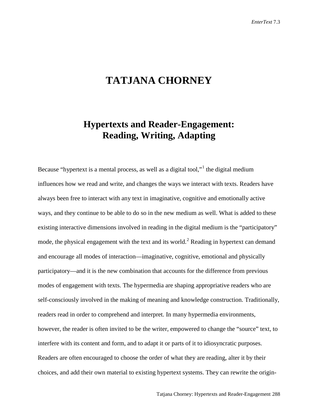## **TATJANA CHORNEY**

## **Hypertexts and Reader-Engagement: Reading, Writing, Adapting**

Because "hypertext is a mental process, as well as a digital tool,"<sup>[1](#page-21-0)</sup> the digital medium influences how we read and write, and changes the ways we interact with texts. Readers have always been free to interact with any text in imaginative, cognitive and emotionally active ways, and they continue to be able to do so in the new medium as well. What is added to these existing interactive dimensions involved in reading in the digital medium is the "participatory" mode, the physical engagement with the text and its world.<sup>[2](#page-21-1)</sup> Reading in hypertext can demand and encourage all modes of interaction—imaginative, cognitive, emotional and physically participatory—and it is the new combination that accounts for the difference from previous modes of engagement with texts. The hypermedia are shaping appropriative readers who are self-consciously involved in the making of meaning and knowledge construction. Traditionally, readers read in order to comprehend and interpret. In many hypermedia environments, however, the reader is often invited to be the writer, empowered to change the "source" text, to interfere with its content and form, and to adapt it or parts of it to idiosyncratic purposes. Readers are often encouraged to choose the order of what they are reading, alter it by their choices, and add their own material to existing hypertext systems. They can rewrite the origin-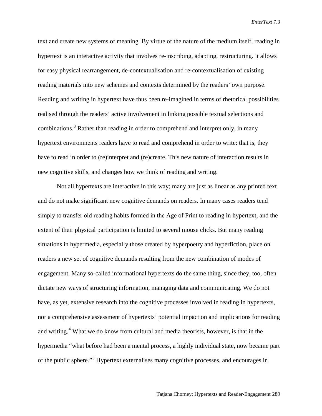text and create new systems of meaning. By virtue of the nature of the medium itself, reading in hypertext is an interactive activity that involves re-inscribing, adapting, restructuring. It allows for easy physical rearrangement, de-contextualisation and re-contextualisation of existing reading materials into new schemes and contexts determined by the readers' own purpose. Reading and writing in hypertext have thus been re-imagined in terms of rhetorical possibilities realised through the readers' active involvement in linking possible textual selections and combinations.[3](#page-22-0) Rather than reading in order to comprehend and interpret only, in many hypertext environments readers have to read and comprehend in order to write: that is, they have to read in order to (re)interpret and (re)create. This new nature of interaction results in new cognitive skills, and changes how we think of reading and writing.

Not all hypertexts are interactive in this way; many are just as linear as any printed text and do not make significant new cognitive demands on readers. In many cases readers tend simply to transfer old reading habits formed in the Age of Print to reading in hypertext, and the extent of their physical participation is limited to several mouse clicks. But many reading situations in hypermedia, especially those created by hyperpoetry and hyperfiction, place on readers a new set of cognitive demands resulting from the new combination of modes of engagement. Many so-called informational hypertexts do the same thing, since they, too, often dictate new ways of structuring information, managing data and communicating. We do not have, as yet, extensive research into the cognitive processes involved in reading in hypertexts, nor a comprehensive assessment of hypertexts' potential impact on and implications for reading and writing.<sup>[4](#page-22-1)</sup> What we do know from cultural and media theorists, however, is that in the hypermedia "what before had been a mental process, a highly individual state, now became part of the public sphere."[5](#page-22-2) Hypertext externalises many cognitive processes, and encourages in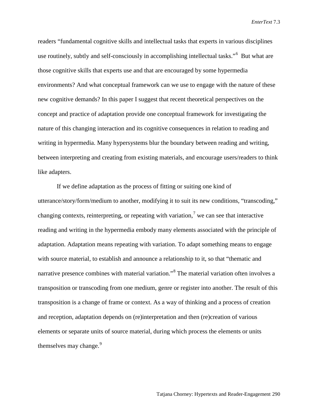readers "fundamental cognitive skills and intellectual tasks that experts in various disciplines use routinely, subtly and self-consciously in accomplishing intellectual tasks."<sup>[6](#page-22-3)</sup> But what are those cognitive skills that experts use and that are encouraged by some hypermedia environments? And what conceptual framework can we use to engage with the nature of these new cognitive demands? In this paper I suggest that recent theoretical perspectives on the concept and practice of adaptation provide one conceptual framework for investigating the nature of this changing interaction and its cognitive consequences in relation to reading and writing in hypermedia. Many hypersystems blur the boundary between reading and writing, between interpreting and creating from existing materials, and encourage users/readers to think like adapters.

If we define adaptation as the process of fitting or suiting one kind of utterance/story/form/medium to another, modifying it to suit its new conditions, "transcoding," changing contexts, reinterpreting, or repeating with variation,<sup>[7](#page-22-4)</sup> we can see that interactive reading and writing in the hypermedia embody many elements associated with the principle of adaptation. Adaptation means repeating with variation. To adapt something means to engage with source material, to establish and announce a relationship to it, so that "thematic and narrative presence combines with material variation."[8](#page-22-5) The material variation often involves a transposition or transcoding from one medium, genre or register into another. The result of this transposition is a change of frame or context. As a way of thinking and a process of creation and reception, adaptation depends on (re)interpretation and then (re)creation of various elements or separate units of source material, during which process the elements or units themselves may change.<sup>[9](#page-22-6)</sup>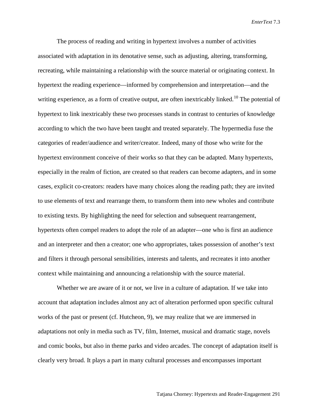The process of reading and writing in hypertext involves a number of activities associated with adaptation in its denotative sense, such as adjusting, altering, transforming, recreating, while maintaining a relationship with the source material or originating context. In hypertext the reading experience—informed by comprehension and interpretation—and the writing experience, as a form of creative output, are often inextricably linked.<sup>[10](#page-22-7)</sup> The potential of hypertext to link inextricably these two processes stands in contrast to centuries of knowledge according to which the two have been taught and treated separately. The hypermedia fuse the categories of reader/audience and writer/creator. Indeed, many of those who write for the hypertext environment conceive of their works so that they can be adapted. Many hypertexts, especially in the realm of fiction, are created so that readers can become adapters, and in some cases, explicit co-creators: readers have many choices along the reading path; they are invited to use elements of text and rearrange them, to transform them into new wholes and contribute to existing texts. By highlighting the need for selection and subsequent rearrangement, hypertexts often compel readers to adopt the role of an adapter—one who is first an audience and an interpreter and then a creator; one who appropriates, takes possession of another's text and filters it through personal sensibilities, interests and talents, and recreates it into another context while maintaining and announcing a relationship with the source material.

Whether we are aware of it or not, we live in a culture of adaptation. If we take into account that adaptation includes almost any act of alteration performed upon specific cultural works of the past or present (cf. Hutcheon, 9), we may realize that we are immersed in adaptations not only in media such as TV, film, Internet, musical and dramatic stage, novels and comic books, but also in theme parks and video arcades. The concept of adaptation itself is clearly very broad. It plays a part in many cultural processes and encompasses important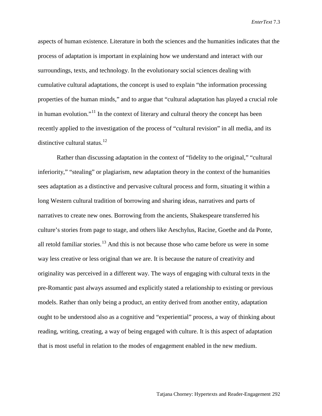aspects of human existence. Literature in both the sciences and the humanities indicates that the process of adaptation is important in explaining how we understand and interact with our surroundings, texts, and technology. In the evolutionary social sciences dealing with cumulative cultural adaptations, the concept is used to explain "the information processing properties of the human minds," and to argue that "cultural adaptation has played a crucial role in human evolution."<sup>[11](#page-22-8)</sup> In the context of literary and cultural theory the concept has been recently applied to the investigation of the process of "cultural revision" in all media, and its distinctive cultural status.<sup>[12](#page-22-9)</sup>

Rather than discussing adaptation in the context of "fidelity to the original," "cultural inferiority," "stealing" or plagiarism, new adaptation theory in the context of the humanities sees adaptation as a distinctive and pervasive cultural process and form, situating it within a long Western cultural tradition of borrowing and sharing ideas, narratives and parts of narratives to create new ones. Borrowing from the ancients, Shakespeare transferred his culture's stories from page to stage, and others like Aeschylus, Racine, Goethe and da Ponte, all retold familiar stories.<sup>[13](#page-22-10)</sup> And this is not because those who came before us were in some way less creative or less original than we are. It is because the nature of creativity and originality was perceived in a different way. The ways of engaging with cultural texts in the pre-Romantic past always assumed and explicitly stated a relationship to existing or previous models. Rather than only being a product, an entity derived from another entity, adaptation ought to be understood also as a cognitive and "experiential" process, a way of thinking about reading, writing, creating, a way of being engaged with culture. It is this aspect of adaptation that is most useful in relation to the modes of engagement enabled in the new medium.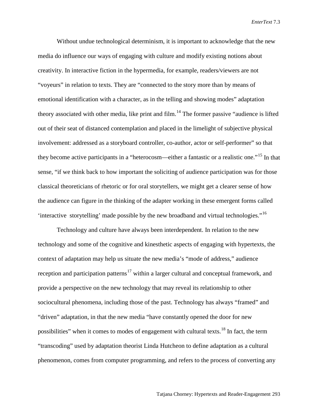Without undue technological determinism, it is important to acknowledge that the new media do influence our ways of engaging with culture and modify existing notions about creativity. In interactive fiction in the hypermedia, for example, readers/viewers are not "voyeurs" in relation to texts. They are "connected to the story more than by means of emotional identification with a character, as in the telling and showing modes" adaptation theory associated with other media, like print and film.<sup>[14](#page-22-11)</sup> The former passive "audience is lifted out of their seat of distanced contemplation and placed in the limelight of subjective physical involvement: addressed as a storyboard controller, co-author, actor or self-performer" so that they become active participants in a "heterocosm—either a fantastic or a realistic one."[15](#page-22-12) In that sense, "if we think back to how important the soliciting of audience participation was for those classical theoreticians of rhetoric or for oral storytellers, we might get a clearer sense of how the audience can figure in the thinking of the adapter working in these emergent forms called 'interactive storytelling' made possible by the new broadband and virtual technologies."[16](#page-22-13)

Technology and culture have always been interdependent. In relation to the new technology and some of the cognitive and kinesthetic aspects of engaging with hypertexts, the context of adaptation may help us situate the new media's "mode of address," audience reception and participation patterns<sup>[17](#page-22-14)</sup> within a larger cultural and conceptual framework, and provide a perspective on the new technology that may reveal its relationship to other sociocultural phenomena, including those of the past. Technology has always "framed" and "driven" adaptation, in that the new media "have constantly opened the door for new possibilities" when it comes to modes of engagement with cultural texts.<sup>[18](#page-22-15)</sup> In fact, the term "transcoding" used by adaptation theorist Linda Hutcheon to define adaptation as a cultural phenomenon, comes from computer programming, and refers to the process of converting any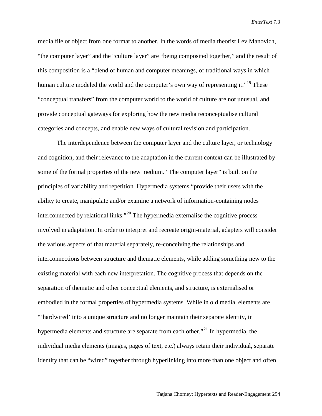media file or object from one format to another. In the words of media theorist Lev Manovich, "the computer layer" and the "culture layer" are "being composited together," and the result of this composition is a "blend of human and computer meanings, of traditional ways in which human culture modeled the world and the computer's own way of representing it."<sup>[19](#page-22-16)</sup> These "conceptual transfers" from the computer world to the world of culture are not unusual, and provide conceptual gateways for exploring how the new media reconceptualise cultural categories and concepts, and enable new ways of cultural revision and participation.

The interdependence between the computer layer and the culture layer, or technology and cognition, and their relevance to the adaptation in the current context can be illustrated by some of the formal properties of the new medium. "The computer layer" is built on the principles of variability and repetition. Hypermedia systems "provide their users with the ability to create, manipulate and/or examine a network of information-containing nodes interconnected by relational links."<sup>[20](#page-22-17)</sup> The hypermedia externalise the cognitive process involved in adaptation. In order to interpret and recreate origin-material, adapters will consider the various aspects of that material separately, re-conceiving the relationships and interconnections between structure and thematic elements, while adding something new to the existing material with each new interpretation. The cognitive process that depends on the separation of thematic and other conceptual elements, and structure, is externalised or embodied in the formal properties of hypermedia systems. While in old media, elements are "'hardwired' into a unique structure and no longer maintain their separate identity, in hypermedia elements and structure are separate from each other."<sup>[21](#page-22-18)</sup> In hypermedia, the individual media elements (images, pages of text, etc.) always retain their individual, separate identity that can be "wired" together through hyperlinking into more than one object and often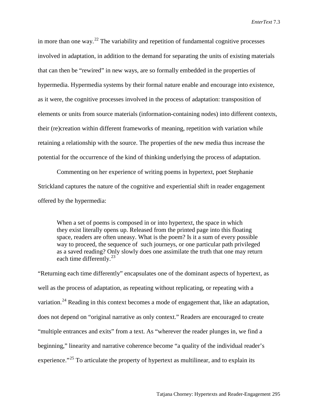in more than one way.<sup>[22](#page-22-19)</sup> The variability and repetition of fundamental cognitive processes involved in adaptation, in addition to the demand for separating the units of existing materials that can then be "rewired" in new ways, are so formally embedded in the properties of hypermedia. Hypermedia systems by their formal nature enable and encourage into existence, as it were, the cognitive processes involved in the process of adaptation: transposition of elements or units from source materials (information-containing nodes) into different contexts, their (re)creation within different frameworks of meaning, repetition with variation while retaining a relationship with the source. The properties of the new media thus increase the potential for the occurrence of the kind of thinking underlying the process of adaptation.

Commenting on her experience of writing poems in hypertext, poet Stephanie Strickland captures the nature of the cognitive and experiential shift in reader engagement offered by the hypermedia:

When a set of poems is composed in or into hypertext, the space in which they exist literally opens up. Released from the printed page into this floating space, readers are often uneasy. What is the poem? Is it a sum of every possible way to proceed, the sequence of such journeys, or one particular path privileged as a saved reading? Only slowly does one assimilate the truth that one may return each time differently.<sup>23</sup>

"Returning each time differently" encapsulates one of the dominant aspects of hypertext, as well as the process of adaptation, as repeating without replicating, or repeating with a variation.<sup>[24](#page-22-21)</sup> Reading in this context becomes a mode of engagement that, like an adaptation, does not depend on "original narrative as only context." Readers are encouraged to create "multiple entrances and exits" from a text. As "wherever the reader plunges in, we find a beginning," linearity and narrative coherence become "a quality of the individual reader's experience."<sup>[25](#page-22-22)</sup> To articulate the property of hypertext as multilinear, and to explain its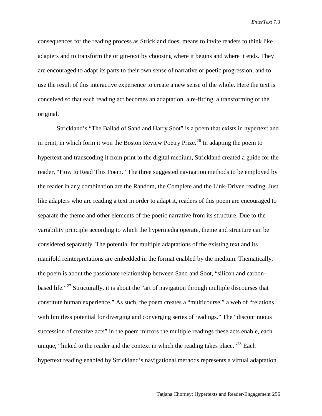consequences for the reading process as Strickland does, means to invite readers to think like adapters and to transform the origin-text by choosing where it begins and where it ends. They are encouraged to adapt its parts to their own sense of narrative or poetic progression, and to use the result of this interactive experience to create a new sense of the whole. Here the text is conceived so that each reading act becomes an adaptation, a re-fitting, a transforming of the original.

Strickland's "The Ballad of Sand and Harry Soot" is a poem that exists in hypertext and in print, in which form it won the Boston Review Poetry Prize.<sup>[26](#page-22-23)</sup> In adapting the poem to hypertext and transcoding it from print to the digital medium, Strickland created a guide for the reader, "How to Read This Poem." The three suggested navigation methods to be employed by the reader in any combination are the Random, the Complete and the Link-Driven reading. Just like adapters who are reading a text in order to adapt it, readers of this poem are encouraged to separate the theme and other elements of the poetic narrative from its structure. Due to the variability principle according to which the hypermedia operate, theme and structure can be considered separately. The potential for multiple adaptations of the existing text and its manifold reinterpretations are embedded in the format enabled by the medium. Thematically, the poem is about the passionate relationship between Sand and Soot, "silicon and carbon-based life."<sup>[27](#page-22-24)</sup> Structurally, it is about the "art of navigation through multiple discourses that constitute human experience." As such, the poem creates a "multicourse," a web of "relations with limitless potential for diverging and converging series of readings." The "discontinuous succession of creative acts" in the poem mirrors the multiple readings these acts enable, each unique, "linked to the reader and the context in which the reading takes place."<sup>[28](#page-22-25)</sup> Each hypertext reading enabled by Strickland's navigational methods represents a virtual adaptation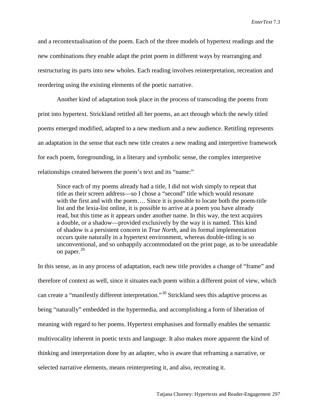and a recontextualisation of the poem. Each of the three models of hypertext readings and the new combinations they enable adapt the print poem in different ways by rearranging and restructuring its parts into new wholes. Each reading involves reinterpretation, recreation and reordering using the existing elements of the poetic narrative.

Another kind of adaptation took place in the process of transcoding the poems from print into hypertext. Strickland retitled all her poems, an act through which the newly titled poems emerged modified, adapted to a new medium and a new audience. Retitling represents an adaptation in the sense that each new title creates a new reading and interpretive framework for each poem, foregrounding, in a literary and symbolic sense, the complex interpretive relationships created between the poem's text and its "name:"

Since each of my poems already had a title, I did not wish simply to repeat that title as their screen address—so I chose a "second" title which would resonate with the first and with the poem.... Since it is possible to locate both the poem-title list and the lexia-list online, it is possible to arrive at a poem you have already read, but this time as it appears under another name. In this way, the text acquires a double, or a shadow—provided exclusively by the way it is named. This kind of shadow is a persistent concern in *True North*, and its formal implementation occurs quite naturally in a hypertext environment, whereas double-titling is so unconventional, and so unhappily accommodated on the print page, as to be unreadable on paper. [29](#page-22-26)

In this sense, as in any process of adaptation, each new title provides a change of "frame" and therefore of context as well, since it situates each poem within a different point of view, which can create a "manifestly different interpretation."[30](#page-22-27) Strickland sees this adaptive process as being "naturally" embedded in the hypermedia, and accomplishing a form of liberation of meaning with regard to her poems. Hypertext emphasises and formally enables the semantic multivocality inherent in poetic texts and language. It also makes more apparent the kind of thinking and interpretation done by an adapter, who is aware that reframing a narrative, or selected narrative elements, means reinterpreting it, and also, recreating it.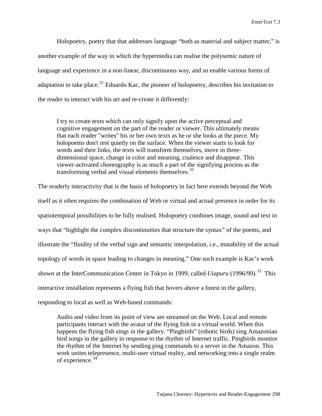Holopoetry, poetry that that addresses language "both as material and subject matter," is another example of the way in which the hypermedia can realise the polysemic nature of language and experience in a non-linear, discontinuous way, and so enable various forms of adaptation to take place.<sup>[31](#page-22-28)</sup> Eduardo Kac, the pioneer of holopoetry, describes his invitation to the reader to interact with his art and re-create it differently:

I try to create texts which can only signify upon the active perceptual and cognitive engagement on the part of the reader or viewer. This ultimately means that each reader "writes" his or her own texts as he or she looks at the piece. My holopoems don't rest quietly on the surface. When the viewer starts to look for words and their links, the texts will transform themselves, move in three dimensional space, change in color and meaning, coalesce and disappear. This viewer-activated choreography is as much a part of the signifying process as the transforming verbal and visual elements themselves.<sup>[32](#page-22-29)</sup>

The readerly interactivity that is the basis of holopoetry in fact here extends beyond the Web itself as it often requires the combination of Web or virtual and actual presence in order for its spatiotemporal possibilities to be fully realised. Holopoetry combines image, sound and text in ways that "highlight the complex discontinuities that structure the syntax" of the poems, and illustrate the "fluidity of the verbal sign and semantic interpolation, i.e., mutability of the actual topology of words in space leading to changes in meaning." One such example is Kac's work shown at the InterCommunication Center in Tokyo in 1999, called *Uiapuru* (1996/99).<sup>[33](#page-22-30)</sup> This interactive installation represents a flying fish that hovers above a forest in the gallery, responding to local as well as Web-based commands:

Audio and video from its point of view are streamed on the Web. Local and remote participants interact with the avatar of the flying fish in a virtual world. When this happens the flying fish sings in the gallery. "Pingbirds" (robotic birds) sing Amazonian bird songs in the gallery in response to the rhythm of Internet traffic. Pingbirds monitor the rhythm of the Internet by sending ping commands to a server in the Amazon. This work unites telepresence, multi-user virtual reality, and networking into a single realm of experience.<sup>[34](#page-22-31)</sup>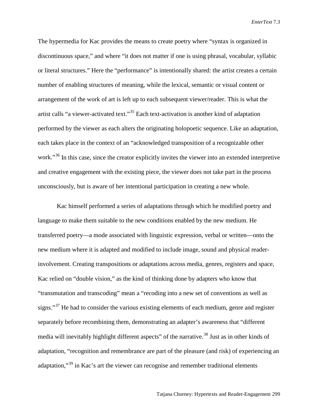The hypermedia for Kac provides the means to create poetry where "syntax is organized in discontinuous space," and where "it does not matter if one is using phrasal, vocabular, syllabic or literal structures." Here the "performance" is intentionally shared: the artist creates a certain number of enabling structures of meaning, while the lexical, semantic or visual content or arrangement of the work of art is left up to each subsequent viewer/reader. This is what the artist calls "a viewer-activated text."[35](#page-22-32) Each text-activation is another kind of adaptation performed by the viewer as each alters the originating holopoetic sequence. Like an adaptation, each takes place in the context of an "acknowledged transposition of a recognizable other work."<sup>[36](#page-22-33)</sup> In this case, since the creator explicitly invites the viewer into an extended interpretive and creative engagement with the existing piece, the viewer does not take part in the process unconsciously, but is aware of her intentional participation in creating a new whole.

Kac himself performed a series of adaptations through which he modified poetry and language to make them suitable to the new conditions enabled by the new medium. He transferred poetry—a mode associated with linguistic expression, verbal or written—onto the new medium where it is adapted and modified to include image, sound and physical readerinvolvement. Creating transpositions or adaptations across media, genres, registers and space, Kac relied on "double vision," as the kind of thinking done by adapters who know that "transmutation and transcoding" mean a "recoding into a new set of conventions as well as signs."<sup>[37](#page-22-34)</sup> He had to consider the various existing elements of each medium, genre and register separately before recombining them, demonstrating an adapter's awareness that "different media will inevitably highlight different aspects" of the narrative.<sup>[38](#page-22-35)</sup> Just as in other kinds of adaptation, "recognition and remembrance are part of the pleasure (and risk) of experiencing an adaptation,"[39](#page-22-36) in Kac's art the viewer can recognise and remember traditional elements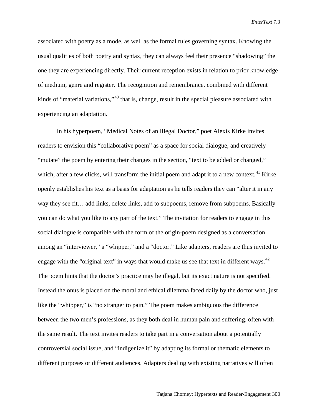associated with poetry as a mode, as well as the formal rules governing syntax. Knowing the usual qualities of both poetry and syntax, they can always feel their presence "shadowing" the one they are experiencing directly. Their current reception exists in relation to prior knowledge of medium, genre and register. The recognition and remembrance, combined with different kinds of "material variations,"<sup>[40](#page-22-37)</sup> that is, change, result in the special pleasure associated with experiencing an adaptation.

In his hyperpoem, "Medical Notes of an Illegal Doctor," poet Alexis Kirke invites readers to envision this "collaborative poem" as a space for social dialogue, and creatively "mutate" the poem by entering their changes in the section, "text to be added or changed," which, after a few clicks, will transform the initial poem and adapt it to a new context.<sup>[41](#page-22-38)</sup> Kirke openly establishes his text as a basis for adaptation as he tells readers they can "alter it in any way they see fit… add links, delete links, add to subpoems, remove from subpoems. Basically you can do what you like to any part of the text." The invitation for readers to engage in this social dialogue is compatible with the form of the origin-poem designed as a conversation among an "interviewer," a "whipper," and a "doctor." Like adapters, readers are thus invited to engage with the "original text" in ways that would make us see that text in different ways.<sup>[42](#page-22-39)</sup> The poem hints that the doctor's practice may be illegal, but its exact nature is not specified. Instead the onus is placed on the moral and ethical dilemma faced daily by the doctor who, just like the "whipper," is "no stranger to pain." The poem makes ambiguous the difference between the two men's professions, as they both deal in human pain and suffering, often with the same result. The text invites readers to take part in a conversation about a potentially controversial social issue, and "indigenize it" by adapting its formal or thematic elements to different purposes or different audiences. Adapters dealing with existing narratives will often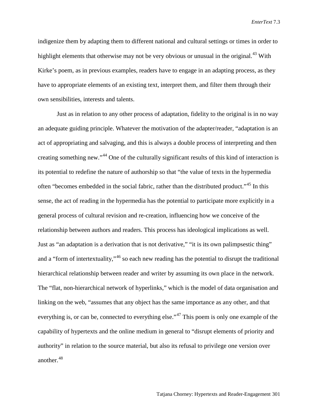indigenize them by adapting them to different national and cultural settings or times in order to highlight elements that otherwise may not be very obvious or unusual in the original.<sup>[43](#page-22-40)</sup> With Kirke's poem, as in previous examples, readers have to engage in an adapting process, as they have to appropriate elements of an existing text, interpret them, and filter them through their own sensibilities, interests and talents.

Just as in relation to any other process of adaptation, fidelity to the original is in no way an adequate guiding principle. Whatever the motivation of the adapter/reader, "adaptation is an act of appropriating and salvaging, and this is always a double process of interpreting and then creating something new."[44](#page-22-2) One of the culturally significant results of this kind of interaction is its potential to redefine the nature of authorship so that "the value of texts in the hypermedia often "becomes embedded in the social fabric, rather than the distributed product."[45](#page-22-3) In this sense, the act of reading in the hypermedia has the potential to participate more explicitly in a general process of cultural revision and re-creation, influencing how we conceive of the relationship between authors and readers. This process has ideological implications as well. Just as "an adaptation is a derivation that is not derivative," "it is its own palimpsestic thing" and a "form of intertextuality,"<sup>[46](#page-22-41)</sup> so each new reading has the potential to disrupt the traditional hierarchical relationship between reader and writer by assuming its own place in the network. The "flat, non-hierarchical network of hyperlinks," which is the model of data organisation and linking on the web, "assumes that any object has the same importance as any other, and that everything is, or can be, connected to everything else."<sup>[47](#page-22-4)</sup> This poem is only one example of the capability of hypertexts and the online medium in general to "disrupt elements of priority and authority" in relation to the source material, but also its refusal to privilege one version over another. [48](#page-22-5)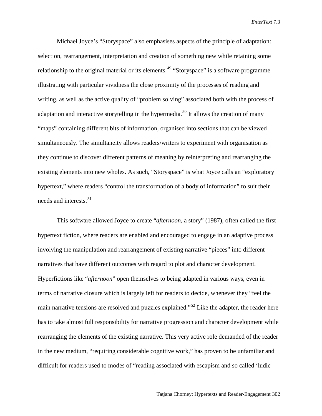Michael Joyce's "Storyspace" also emphasises aspects of the principle of adaptation: selection, rearrangement, interpretation and creation of something new while retaining some relationship to the original material or its elements.<sup>[49](#page-22-6)</sup> "Storyspace" is a software programme illustrating with particular vividness the close proximity of the processes of reading and writing, as well as the active quality of "problem solving" associated both with the process of adaptation and interactive storytelling in the hypermedia.<sup>[50](#page-22-7)</sup> It allows the creation of many "maps" containing different bits of information, organised into sections that can be viewed simultaneously. The simultaneity allows readers/writers to experiment with organisation as they continue to discover different patterns of meaning by reinterpreting and rearranging the existing elements into new wholes. As such, "Storyspace" is what Joyce calls an "exploratory hypertext," where readers "control the transformation of a body of information" to suit their needs and interests. [51](#page-22-42)

This software allowed Joyce to create "*afternoon*, a story" (1987), often called the first hypertext fiction, where readers are enabled and encouraged to engage in an adaptive process involving the manipulation and rearrangement of existing narrative "pieces" into different narratives that have different outcomes with regard to plot and character development. Hyperfictions like "*afternoon*" open themselves to being adapted in various ways, even in terms of narrative closure which is largely left for readers to decide, whenever they "feel the main narrative tensions are resolved and puzzles explained."<sup>[52](#page-22-43)</sup> Like the adapter, the reader here has to take almost full responsibility for narrative progression and character development while rearranging the elements of the existing narrative. This very active role demanded of the reader in the new medium, "requiring considerable cognitive work," has proven to be unfamiliar and difficult for readers used to modes of "reading associated with escapism and so called 'ludic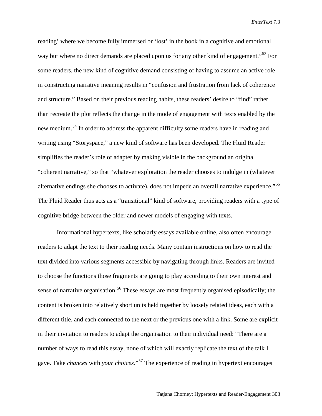reading' where we become fully immersed or 'lost' in the book in a cognitive and emotional way but where no direct demands are placed upon us for any other kind of engagement."<sup>[53](#page-22-44)</sup> For some readers, the new kind of cognitive demand consisting of having to assume an active role in constructing narrative meaning results in "confusion and frustration from lack of coherence and structure." Based on their previous reading habits, these readers' desire to "find" rather than recreate the plot reflects the change in the mode of engagement with texts enabled by the new medium.[54](#page-22-9) In order to address the apparent difficulty some readers have in reading and writing using "Storyspace," a new kind of software has been developed. The Fluid Reader simplifies the reader's role of adapter by making visible in the background an original "coherent narrative," so that "whatever exploration the reader chooses to indulge in (whatever alternative endings she chooses to activate), does not impede an overall narrative experience."<sup>[55](#page-22-10)</sup> The Fluid Reader thus acts as a "transitional" kind of software, providing readers with a type of cognitive bridge between the older and newer models of engaging with texts.

Informational hypertexts, like scholarly essays available online, also often encourage readers to adapt the text to their reading needs. Many contain instructions on how to read the text divided into various segments accessible by navigating through links. Readers are invited to choose the functions those fragments are going to play according to their own interest and sense of narrative organisation.<sup>[56](#page-22-45)</sup> These essays are most frequently organised episodically; the content is broken into relatively short units held together by loosely related ideas, each with a different title, and each connected to the next or the previous one with a link. Some are explicit in their invitation to readers to adapt the organisation to their individual need: "There are a number of ways to read this essay, none of which will exactly replicate the text of the talk I gave. Take *chances* with *your choices*."[57](#page-22-18) The experience of reading in hypertext encourages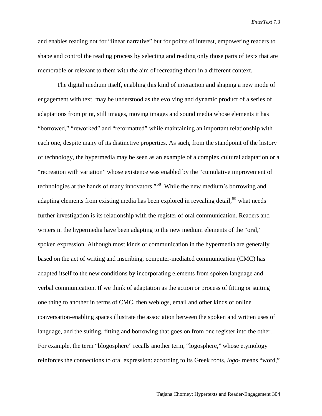and enables reading not for "linear narrative" but for points of interest, empowering readers to shape and control the reading process by selecting and reading only those parts of texts that are memorable or relevant to them with the aim of recreating them in a different context.

The digital medium itself, enabling this kind of interaction and shaping a new mode of engagement with text, may be understood as the evolving and dynamic product of a series of adaptations from print, still images, moving images and sound media whose elements it has "borrowed," "reworked" and "reformatted" while maintaining an important relationship with each one, despite many of its distinctive properties. As such, from the standpoint of the history of technology, the hypermedia may be seen as an example of a complex cultural adaptation or a "recreation with variation" whose existence was enabled by the "cumulative improvement of technologies at the hands of many innovators."[58](#page-22-46) While the new medium's borrowing and adapting elements from existing media has been explored in revealing detail,<sup>[59](#page-22-21)</sup> what needs further investigation is its relationship with the register of oral communication. Readers and writers in the hypermedia have been adapting to the new medium elements of the "oral," spoken expression. Although most kinds of communication in the hypermedia are generally based on the act of writing and inscribing, computer-mediated communication (CMC) has adapted itself to the new conditions by incorporating elements from spoken language and verbal communication. If we think of adaptation as the action or process of fitting or suiting one thing to another in terms of CMC, then weblogs, email and other kinds of online conversation-enabling spaces illustrate the association between the spoken and written uses of language, and the suiting, fitting and borrowing that goes on from one register into the other. For example, the term "blogosphere" recalls another term, "logosphere," whose etymology reinforces the connections to oral expression: according to its Greek roots, *logo*- means "word,"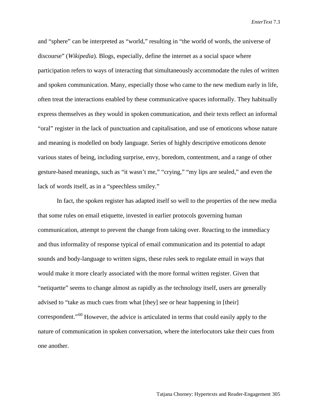and "sphere" can be interpreted as "world," resulting in "the world of words, the universe of discourse" (*Wikipedia*). Blogs, especially, define the internet as a social space where participation refers to ways of interacting that simultaneously accommodate the rules of written and spoken communication. Many, especially those who came to the new medium early in life, often treat the interactions enabled by these communicative spaces informally. They habitually express themselves as they would in spoken communication, and their texts reflect an informal "oral" register in the lack of punctuation and capitalisation, and use of emoticons whose nature and meaning is modelled on body language. Series of highly descriptive emoticons denote various states of being, including surprise, envy, boredom, contentment, and a range of other gesture-based meanings, such as "it wasn't me," "crying," "my lips are sealed," and even the lack of words itself, as in a "speechless smiley."

In fact, the spoken register has adapted itself so well to the properties of the new media that some rules on email etiquette, invested in earlier protocols governing human communication, attempt to prevent the change from taking over. Reacting to the immediacy and thus informality of response typical of email communication and its potential to adapt sounds and body-language to written signs, these rules seek to regulate email in ways that would make it more clearly associated with the more formal written register. Given that "netiquette" seems to change almost as rapidly as the technology itself, users are generally advised to "take as much cues from what [they] see or hear happening in [their] correspondent."<sup>[60](#page-22-22)</sup> However, the advice is articulated in terms that could easily apply to the nature of communication in spoken conversation, where the interlocutors take their cues from one another.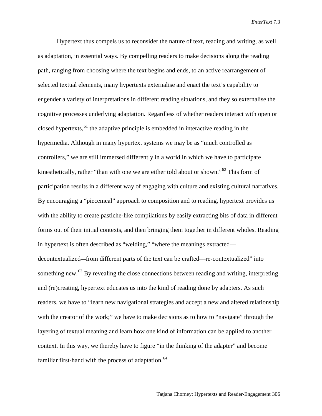Hypertext thus compels us to reconsider the nature of text, reading and writing, as well as adaptation, in essential ways. By compelling readers to make decisions along the reading path, ranging from choosing where the text begins and ends, to an active rearrangement of selected textual elements, many hypertexts externalise and enact the text's capability to engender a variety of interpretations in different reading situations, and they so externalise the cognitive processes underlying adaptation. Regardless of whether readers interact with open or closed hypertexts,  $61$  the adaptive principle is embedded in interactive reading in the hypermedia. Although in many hypertext systems we may be as "much controlled as controllers," we are still immersed differently in a world in which we have to participate kinesthetically, rather "than with one we are either told about or shown."<sup>[62](#page-22-26)</sup> This form of participation results in a different way of engaging with culture and existing cultural narratives. By encouraging a "piecemeal" approach to composition and to reading, hypertext provides us with the ability to create pastiche-like compilations by easily extracting bits of data in different forms out of their initial contexts, and then bringing them together in different wholes. Reading in hypertext is often described as "welding," "where the meanings extracted decontextualized—from different parts of the text can be crafted—re-contextualized" into something new.<sup>[63](#page-22-47)</sup> By revealing the close connections between reading and writing, interpreting and (re)creating, hypertext educates us into the kind of reading done by adapters. As such readers, we have to "learn new navigational strategies and accept a new and altered relationship with the creator of the work;" we have to make decisions as to how to "navigate" through the layering of textual meaning and learn how one kind of information can be applied to another context. In this way, we thereby have to figure "in the thinking of the adapter" and become familiar first-hand with the process of adaptation.<sup>[64](#page-22-48)</sup>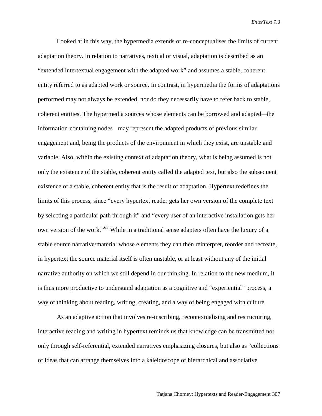Looked at in this way, the hypermedia extends or re-conceptualises the limits of current adaptation theory. In relation to narratives, textual or visual, adaptation is described as an "extended intertextual engagement with the adapted work" and assumes a stable, coherent entity referred to as adapted work or source. In contrast, in hypermedia the forms of adaptations performed may not always be extended, nor do they necessarily have to refer back to stable, coherent entities. The hypermedia sources whose elements can be borrowed and adapted—the information-containing nodes—may represent the adapted products of previous similar engagement and, being the products of the environment in which they exist, are unstable and variable. Also, within the existing context of adaptation theory, what is being assumed is not only the existence of the stable, coherent entity called the adapted text, but also the subsequent existence of a stable, coherent entity that is the result of adaptation. Hypertext redefines the limits of this process, since "every hypertext reader gets her own version of the complete text by selecting a particular path through it" and "every user of an interactive installation gets her own version of the work."[65](#page-22-49) While in a traditional sense adapters often have the luxury of a stable source narrative/material whose elements they can then reinterpret, reorder and recreate, in hypertext the source material itself is often unstable, or at least without any of the initial narrative authority on which we still depend in our thinking. In relation to the new medium, it is thus more productive to understand adaptation as a cognitive and "experiential" process, a way of thinking about reading, writing, creating, and a way of being engaged with culture.

As an adaptive action that involves re-inscribing, recontextualising and restructuring, interactive reading and writing in hypertext reminds us that knowledge can be transmitted not only through self-referential, extended narratives emphasizing closures, but also as "collections of ideas that can arrange themselves into a kaleidoscope of hierarchical and associative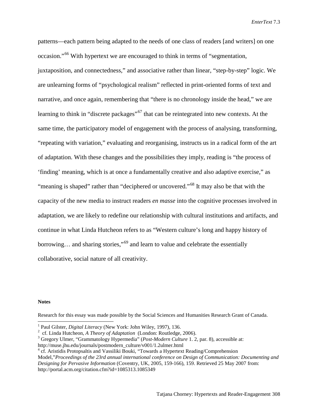patterns—each pattern being adapted to the needs of one class of readers [and writers] on one occasion."[66](#page-22-50) With hypertext we are encouraged to think in terms of "segmentation, juxtaposition, and connectedness," and associative rather than linear, "step-by-step" logic. We are unlearning forms of "psychological realism" reflected in print-oriented forms of text and narrative, and once again, remembering that "there is no chronology inside the head," we are learning to think in "discrete packages"<sup>[67](#page-22-51)</sup> that can be reintegrated into new contexts. At the same time, the participatory model of engagement with the process of analysing, transforming, "repeating with variation," evaluating and reorganising, instructs us in a radical form of the art of adaptation. With these changes and the possibilities they imply, reading is "the process of 'finding' meaning, which is at once a fundamentally creative and also adaptive exercise," as "meaning is shaped" rather than "deciphered or uncovered."[68](#page-22-52) It may also be that with the capacity of the new media to instruct readers *en masse* into the cognitive processes involved in adaptation, we are likely to redefine our relationship with cultural institutions and artifacts, and continue in what Linda Hutcheon refers to as "Western culture's long and happy history of borrowing… and sharing stories,"[69](#page-22-53) and learn to value and celebrate the essentially collaborative, social nature of all creativity.

## **Notes**

Research for this essay was made possible by the Social Sciences and Humanities Research Grant of Canada.

<sup>&</sup>lt;sup>1</sup> Paul Gilster, *Digital Literacy* (New York: John Wiley, 1997), 136.<br><sup>2</sup> cf. Linda Hutcheon, *A Theory of Adaptation* (London: Routledge, 2006).

<sup>&</sup>lt;sup>3</sup> Gregory Ulmer, "Grammatology Hypermedia" (*Post-Modern Culture* 1, 2, par. 8), accessible at:

[http://muse.jhu.edu/journals/postmodern\\_culture/v001/1.2ulmer.html](http://muse.jhu.edu/journals/postmodern_culture/v001/1.2ulmer.html)

<sup>4</sup> cf. Aristidis Protopsaltis and Vassiliki Bouki, "Towards a Hypertext Reading/Comprehension Model,"*Proceedings of the 23rd annual international conference on Design of Communication: Documenting and Designing for Pervasive Information* (Coventry, UK, 2005, 159-166), 159. Retrieved 25 May 2007 from: <http://portal.acm.org/citation.cfm?id=1085313.1085349>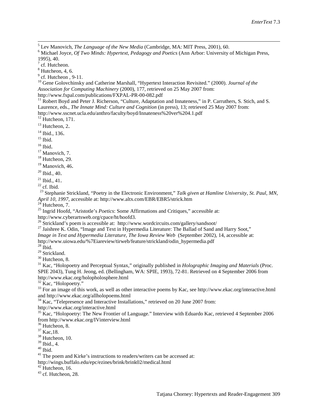<sup>5</sup> Lev Manovich, *The Language of the New Media* (Cambridge, MA: MIT Press, 2001), 60.<br><sup>6</sup> Michael Joyce, *Of Two Minds: Hypertext, Pedagogy and Poetics* (Ann Arbor: University of Michigan Press, 1995), 40.

 $<sup>7</sup>$  cf. Hutcheon.</sup>

 $<sup>8</sup>$  Hutcheon, 4, 6.<br> $<sup>9</sup>$  cf. Hutcheon, 9-11.</sup></sup>

<sup>10</sup> Gene Golovchinsky and Catherine Marshall, "Hypertext Interaction Revisited." (2000). *Journal of the Association for Computing Machinery* (2000), 177, retrieved on 25 May 2007 from:

 $h_1$  Robert Boyd and Peter J. Richerson, "Culture, Adaptation and Innateness," in P. Carruthers, S. Stich, and S. Laurence, eds., *The Innate Mind: Culture and Cognition* (in press), 13; retrieved 25 May 2007 from:

http://www.sscnet.ucla.edu/anthro/faculty/boyd/Innateness%20ver%204.1.pdf <sup>12</sup> Hutcheon, 171.

 $13$  Hutcheon, 2.

 $14$  Ibid., 136.<br> $15$  Ibid.

<sup>16</sup> Ibid. <sup>17</sup> Manovich, 7.<br><sup>18</sup> Hutcheon, 29.

 $19$  Manovich, 46.

 $20$  Ibid., 40.

 $^{21}$  Ibid., 41.<br> $^{22}$  cf. Ibid.

<sup>23</sup> Stephanie Strickland, "Poetry in the Electronic Environment," *Talk given at Hamline University, St. Paul, MN, April 10, 1997, accessible at: http://www.altx.com/EBR/EBR5/strick.htm* 

<sup>24</sup> Hutcheon, 7.<br><sup>25</sup> Ingrid Hoofd, "Aristotle's *Poetics*: Some Affirmations and Critiques," accessible at:<br>http://www.cyberartsweb.org/cpace/ht/hoofd3.

<sup>26</sup> Strickland's poem is accessible at:<http://www.wordcircuits.com/gallery/sandsoot/><br><sup>27</sup> Jaishree K. Odin, "Image and Text in Hypermedia Literature: The Ballad of Sand and Harry Soot,"

*Image in Text and Hypermedia Literature, The Iowa Review Web* (September 2002), 14, accessible at:

[http://www.uiowa.edu/%7Eiareview/tirweb/feature/strickland/odin\\_hypermedia.pdf](http://www.uiowa.edu/~iareview/tirweb/feature/strickland/odin_hypermedia.pdf)

 $\frac{^{28}}{^{29}}$  Strickland.

<sup>30</sup> Hutcheon, 8.<br><sup>31</sup> Kac, "Holopoetry and Perceptual Syntax," originally published in *Holographic Imaging and Materials* (Proc. SPIE 2043), Tung H. Jeong, ed. (Bellingham, WA: SPIE, 1993), 72-81. Retrieved on 4 September 2006 from <http://www.ekac.org/holopholosphere.html><br><sup>32</sup> Kac, "Holopoetry."

 $33$  For an image of this work, as well as other interactive poems by Kac, see<http://www.ekac.org/interactive.html> and http://www.ekac.org/allholopoems.html

 $34$  Kac, "Telepresence and Interactive Installations," retrieved on 20 June 2007 from:

http://www.ekac.org/interactive.html

<sup>35</sup> Kac, "Holopoetry: The New Frontier of Language." Interview with Eduardo Kac, retrieved 4 September 2006 from<http://www.ekac.org/IVinterview.html>  $^{36}$  Hutcheon, 8.<br> $^{37}$  Kac, 18.<br> $^{38}$  Hutcheon, 10.<br> $^{39}$  Ibid., 4.

<span id="page-21-0"></span>

<span id="page-21-1"></span>

 $\frac{40}{10}$  Ibid.<br><sup>41</sup> The poem and Kirke's instructions to readers/writers can be accessed at:

<http://wings.buffalo.edu/epc/ezines/brink/brink02/medical.html>

 $43$  cf. Hutcheon, 28.